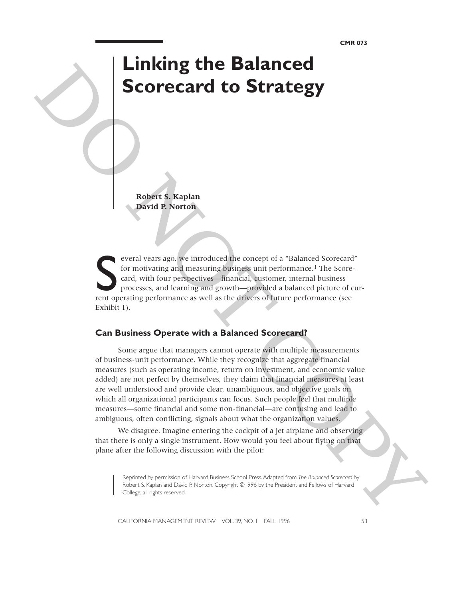# **Linking the Balanced Scorecard to Strategy**

**Robert S. Kaplan David P. Norton**

everal years ago, we introduced the concept of a "Balanced Scorecard<br>for motivating and measuring business unit performance.<sup>1</sup> The Score<br>card, with four perspectives—financial, customer, internal business<br>processes, and l everal years ago, we introduced the concept of a "Balanced Scorecard" for motivating and measuring business unit performance.<sup>1</sup> The Scorecard, with four perspectives—financial, customer, internal business processes, and learning and growth—provided a balanced picture of cur-Exhibit 1).

# **Can Business Operate with a Balanced Scorecard?**

**SCOPECIATE CONTRACTS (SCOPECIATE CONTRACTS)**<br> **SCOPECIATE CONTRACTS (SCOPECIATE COPY)**<br> **SCOPECIATE COPY**<br> **SCOPECIATE COPY**<br> **SCOPECIATE COPY**<br> **SCOPECIATE COPY**<br> **SCOPECIATE COPY**<br> **SCOPECIATE COPY**<br> **SCOPECIATE COPY**<br> Some argue that managers cannot operate with multiple measurements of business-unit performance. While they recognize that aggregate financial measures (such as operating income, return on investment, and economic value added) are not perfect by themselves, they claim that financial measures at least are well understood and provide clear, unambiguous, and objective goals on which all organizational participants can focus. Such people feel that multiple measures—some financial and some non-financial—are confusing and lead to ambiguous, often conflicting, signals about what the organization values.

We disagree. Imagine entering the cockpit of a jet airplane and observing that there is only a single instrument. How would you feel about flying on that plane after the following discussion with the pilot:

Reprinted by permission of Harvard Business School Press.Adapted from *The Balanced Scorecard* by Robert S. Kaplan and David P. Norton. Copyright ©1996 by the President and Fellows of Harvard College; all rights reserved.

CALIFORNIA MANAGEMENT REVIEW VOL. 39, NO. 1 FALL 1996 53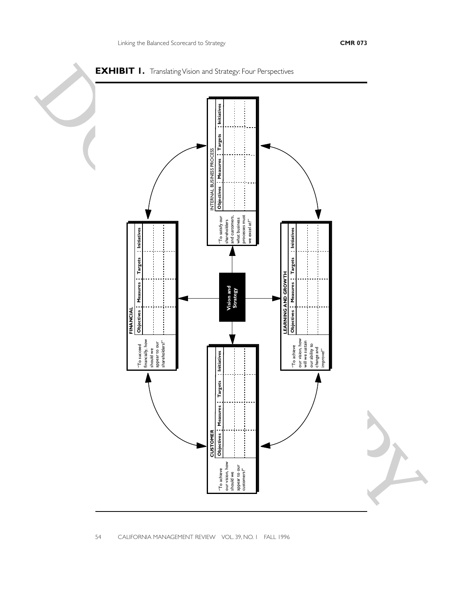

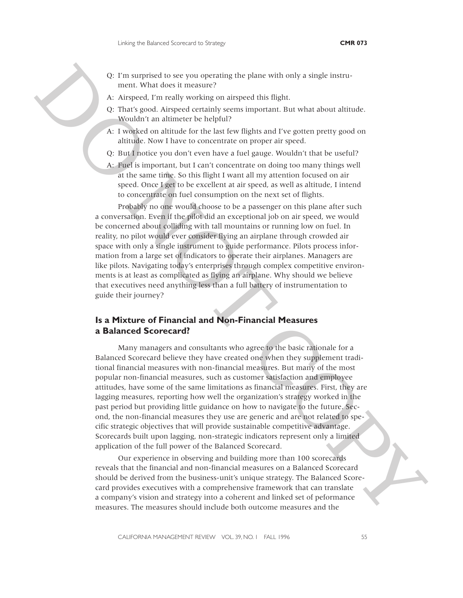- Q: I'm surprised to see you operating the plane with only a single instrument. What does it measure?
- A: Airspeed, I'm really working on airspeed this flight.
- Q: That's good. Airspeed certainly seems important. But what about altitude. Wouldn't an altimeter be helpful?
- A: I worked on altitude for the last few flights and I've gotten pretty good on altitude. Now I have to concentrate on proper air speed.
- Q: But I notice you don't even have a fuel gauge. Wouldn't that be useful?
- A: Fuel is important, but I can't concentrate on doing too many things well at the same time. So this flight I want all my attention focused on air speed. Once I get to be excellent at air speed, as well as altitude, I intend to concentrate on fuel consumption on the next set of flights.

Probably no one would choose to be a passenger on this plane after such a conversation. Even if the pilot did an exceptional job on air speed, we would be concerned about colliding with tall mountains or running low on fuel. In reality, no pilot would ever consider flying an airplane through crowded air space with only a single instrument to guide performance. Pilots process information from a large set of indicators to operate their airplanes. Managers are like pilots. Navigating today's enterprises through complex competitive environments is at least as complicated as flying an airplane. Why should we believe that executives need anything less than a full battery of instrumentation to guide their journey?

# **Is a Mixture of Financial and Non-Financial Measures a Balanced Scorecard?**

Q. The surpleads once you operating the plane with only a single instructional and the section of the surplead and the surplead and the surplead and the surplead and the surplead and the surplead and the surplead and the Many managers and consultants who agree to the basic rationale for a Balanced Scorecard believe they have created one when they supplement traditional financial measures with non-financial measures. But many of the most popular non-financial measures, such as customer satisfaction and employee attitudes, have some of the same limitations as financial measures. First, they are lagging measures, reporting how well the organization's strategy worked in the past period but providing little guidance on how to navigate to the future. Second, the non-financial measures they use are generic and are not related to specific strategic objectives that will provide sustainable competitive advantage. Scorecards built upon lagging, non-strategic indicators represent only a limited application of the full power of the Balanced Scorecard.

Our experience in observing and building more than 100 scorecards reveals that the financial and non-financial measures on a Balanced Scorecard should be derived from the business-unit's unique strategy. The Balanced Scorecard provides executives with a comprehensive framework that can translate a company's vision and strategy into a coherent and linked set of peformance measures. The measures should include both outcome measures and the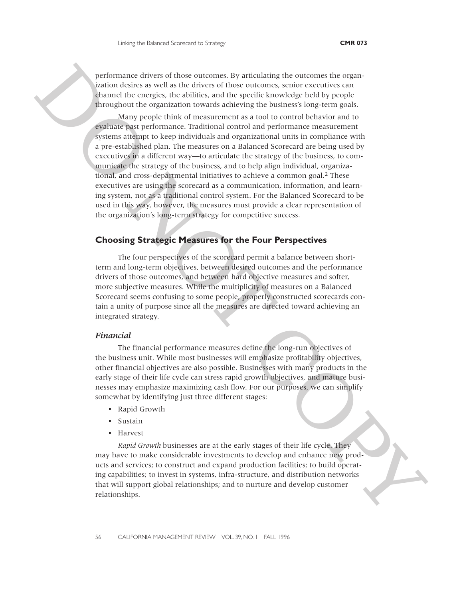performance drivers of those outcomes. By articulating the outcomes the organization desires as well as the drivers of those outcomes, senior executives can channel the energies, the abilities, and the specific knowledge held by people throughout the organization towards achieving the business's long-term goals.

proformance datents of those constrained in anticolating the contents the registering of the methods and the equivalent the eigenstrain of the specific heroids and the entropy in the properties of the specific field of th Many people think of measurement as a tool to control behavior and to evaluate past performance. Traditional control and performance measurement systems attempt to keep individuals and organizational units in compliance with a pre-established plan. The measures on a Balanced Scorecard are being used by executives in a different way—to articulate the strategy of the business, to communicate the strategy of the business, and to help align individual, organizational, and cross-departmental initiatives to achieve a common goal.2 These executives are using the scorecard as a communication, information, and learning system, not as a traditional control system. For the Balanced Scorecard to be used in this way, however, the measures must provide a clear representation of the organization's long-term strategy for competitive success.

# **Choosing Strategic Measures for the Four Perspectives**

The four perspectives of the scorecard permit a balance between shortterm and long-term objectives, between desired outcomes and the performance drivers of those outcomes, and between hard objective measures and softer, more subjective measures. While the multiplicity of measures on a Balanced Scorecard seems confusing to some people, properly constructed scorecards contain a unity of purpose since all the measures are directed toward achieving an integrated strategy.

# *Financial*

The financial performance measures define the long-run objectives of the business unit. While most businesses will emphasize profitability objectives, other financial objectives are also possible. Businesses with many products in the early stage of their life cycle can stress rapid growth objectives, and mature businesses may emphasize maximizing cash flow. For our purposes, we can simplify somewhat by identifying just three different stages:

- Rapid Growth
- Sustain
- Harvest

*Rapid Growth* businesses are at the early stages of their life cycle. They may have to make considerable investments to develop and enhance new products and services; to construct and expand production facilities; to build operating capabilities; to invest in systems, infra-structure, and distribution networks that will support global relationships; and to nurture and develop customer relationships.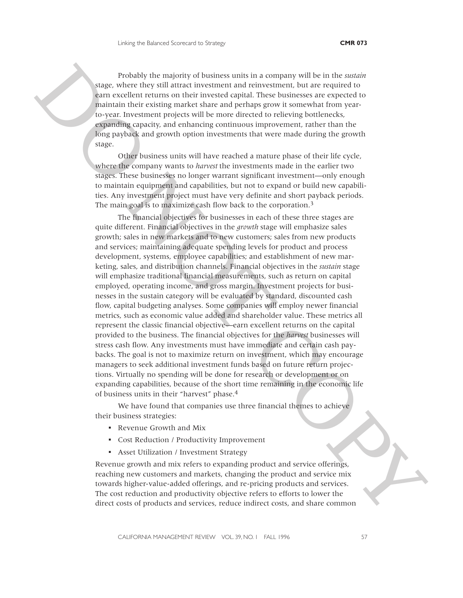Probably the majority of business units in a company will be in the *sustain* stage, where they still attract investment and reinvestment, but are required to earn excellent returns on their invested capital. These businesses are expected to maintain their existing market share and perhaps grow it somewhat from yearto-year. Investment projects will be more directed to relieving bottlenecks, expanding capacity, and enhancing continuous improvement, rather than the long payback and growth option investments that were made during the growth stage.

Other business units will have reached a mature phase of their life cycle, where the company wants to *harvest* the investments made in the earlier two stages. These businesses no longer warrant significant investment—only enough to maintain equipment and capabilities, but not to expand or build new capabilities. Any investment project must have very definite and short payback periods. The main goal is to maximize cash flow back to the corporation.<sup>3</sup>

Probably the majority of baselong and the material and a company will be in the autation of the street of the material and the material of the street of the street of the street of the street of the street of the street o The financial objectives for businesses in each of these three stages are quite different. Financial objectives in the *growth* stage will emphasize sales growth; sales in new markets and to new customers; sales from new products and services; maintaining adequate spending levels for product and process development, systems, employee capabilities; and establishment of new marketing, sales, and distribution channels. Financial objectives in the *sustain* stage will emphasize traditional financial measurements, such as return on capital employed, operating income, and gross margin. Investment projects for businesses in the sustain category will be evaluated by standard, discounted cash flow, capital budgeting analyses. Some companies will employ newer financial metrics, such as economic value added and shareholder value. These metrics all represent the classic financial objective—earn excellent returns on the capital provided to the business. The financial objectives for the *harvest* businesses will stress cash flow. Any investments must have immediate and certain cash paybacks. The goal is not to maximize return on investment, which may encourage managers to seek additional investment funds based on future return projections. Virtually no spending will be done for research or development or on expanding capabilities, because of the short time remaining in the economic life of business units in their "harvest" phase.4

We have found that companies use three financial themes to achieve their business strategies:

- Revenue Growth and Mix
- Cost Reduction / Productivity Improvement
- Asset Utilization / Investment Strategy

Revenue growth and mix refers to expanding product and service offerings, reaching new customers and markets, changing the product and service mix towards higher-value-added offerings, and re-pricing products and services. The cost reduction and productivity objective refers to efforts to lower the direct costs of products and services, reduce indirect costs, and share common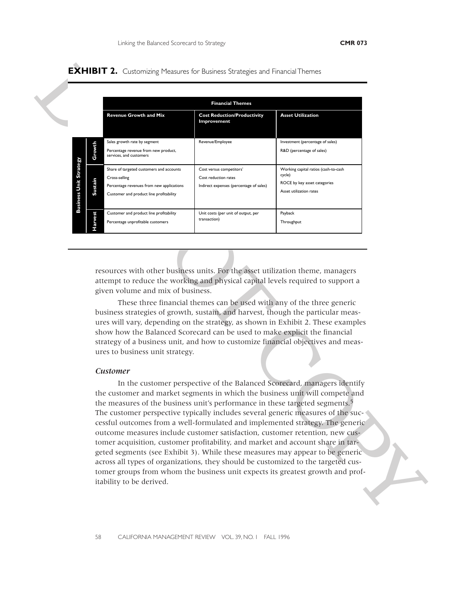|                               |         | <b>Financial Themes</b>                                                                                                                                                                                             |                                                                                             |                                                                                                                                                                                                                                                                                                                                                                                                                                                                                                                                                                                                                                                                       |  |
|-------------------------------|---------|---------------------------------------------------------------------------------------------------------------------------------------------------------------------------------------------------------------------|---------------------------------------------------------------------------------------------|-----------------------------------------------------------------------------------------------------------------------------------------------------------------------------------------------------------------------------------------------------------------------------------------------------------------------------------------------------------------------------------------------------------------------------------------------------------------------------------------------------------------------------------------------------------------------------------------------------------------------------------------------------------------------|--|
|                               |         | <b>Revenue Growth and Mix</b>                                                                                                                                                                                       | <b>Cost Reduction/Productivity</b><br>Improvement                                           | <b>Asset Utilization</b>                                                                                                                                                                                                                                                                                                                                                                                                                                                                                                                                                                                                                                              |  |
|                               | Growth  | Sales growth rate by segment<br>Percentage revenue from new product,<br>services, and customers                                                                                                                     | Revenue/Employee                                                                            | Investment (percentage of sales)<br>R&D (percentage of sales)                                                                                                                                                                                                                                                                                                                                                                                                                                                                                                                                                                                                         |  |
| <b>Business Unit Strategy</b> | Sustair | Share of targeted customers and accounts<br>Cross-selling<br>Percentage revenues from new applications<br>Customer and product line profitability                                                                   | Cost versus competitors'<br>Cost reduction rates<br>Indirect expenses (percentage of sales) | Working capital ratios (cash-to-cash<br>cycle)<br>ROCE by key asset categories<br>Asset utilization rates                                                                                                                                                                                                                                                                                                                                                                                                                                                                                                                                                             |  |
|                               | arvest  | Customer and product line profitability<br>Percentage unprofitable customers                                                                                                                                        | Unit costs (per unit of output, per<br>transaction)                                         | Payback<br>Throughput                                                                                                                                                                                                                                                                                                                                                                                                                                                                                                                                                                                                                                                 |  |
|                               |         | show how the Balanced Scorecard can be used to make explicit the financial<br>ures to business unit strategy.                                                                                                       |                                                                                             | ures will vary, depending on the strategy, as shown in Exhibit 2. These examples<br>strategy of a business unit, and how to customize financial objectives and meas-                                                                                                                                                                                                                                                                                                                                                                                                                                                                                                  |  |
|                               |         | Customer<br>the measures of the business unit's performance in these targeted segments. <sup>5</sup><br>tomer acquisition, customer profitability, and market and account share in tar-<br>itability to be derived. |                                                                                             | In the customer perspective of the Balanced Scorecard, managers identify<br>the customer and market segments in which the business unit will compete and<br>The customer perspective typically includes several generic measures of the suc-<br>cessful outcomes from a well-formulated and implemented strategy. The generic<br>outcome measures include customer satisfaction, customer retention, new cus-<br>geted segments (see Exhibit 3). While these measures may appear to be generic<br>across all types of organizations, they should be customized to the targeted cus-<br>tomer groups from whom the business unit expects its greatest growth and prof- |  |

# **EXHIBIT 2.** Customizing Measures for Business Strategies and Financial Themes

#### *Customer*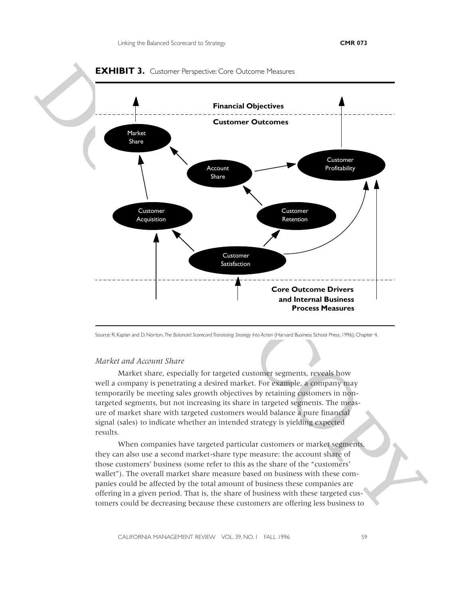

# **EXHIBIT 3.** Customer Perspective: Core Outcome Measures

Source: R. Kaplan and D. Norton, *The Balanced Scorecard:Translating Strategy Into Action* (Harvard Business School Press, 1996); Chapter 4.

# *Market and Account Share*

Market share, especially for targeted customer segments, reveals how well a company is penetrating a desired market. For example, a company may temporarily be meeting sales growth objectives by retaining customers in nontargeted segments, but not increasing its share in targeted segments. The measure of market share with targeted customers would balance a pure financial signal (sales) to indicate whether an intended strategy is yielding expected results.

When companies have targeted particular customers or market segments, they can also use a second market-share type measure: the account share of those customers' business (some refer to this as the share of the "customers' wallet"). The overall market share measure based on business with these companies could be affected by the total amount of business these companies are offering in a given period. That is, the share of business with these targeted customers could be decreasing because these customers are offering less business to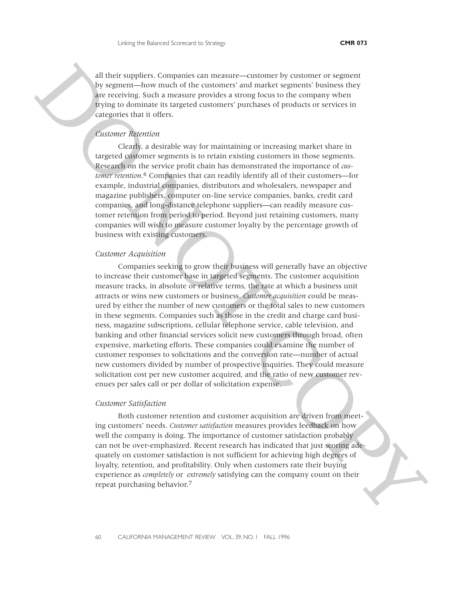all their suppliers. Companies can measure—customer by customer or segment by segment—how much of the customers' and market segments' business they are receiving. Such a measure provides a strong focus to the company when trying to dominate its targeted customers' purchases of products or services in categories that it offers.

# *Customer Retention*

Clearly, a desirable way for maintaining or increasing market share in targeted customer segments is to retain existing customers in those segments. Research on the service profit chain has demonstrated the importance of *customer retention*.6 Companies that can readily identify all of their customers—for example, industrial companies, distributors and wholesalers, newspaper and magazine publishers, computer on-line service companies, banks, credit card companies, and long-distance telephone suppliers—can readily measure customer retention from period to period. Beyond just retaining customers, many companies will wish to measure customer loyalty by the percentage growth of business with existing customers.

#### *Customer Acquisition*

The interplates Comparent can anstatute-contentries that changes are a more to the comparent by the segment-bow mand of the answer environment by the term of the properties of environment by the comparison of the comparis Companies seeking to grow their business will generally have an objective to increase their customer base in targeted segments. The customer acquisition measure tracks, in absolute or relative terms, the rate at which a business unit attracts or wins new customers or business. *Customer acquisition* could be measured by either the number of new customers or the total sales to new customers in these segments. Companies such as those in the credit and charge card business, magazine subscriptions, cellular telephone service, cable television, and banking and other financial services solicit new customers through broad, often expensive, marketing efforts. These companies could examine the number of customer responses to solicitations and the conversion rate—number of actual new customers divided by number of prospective inquiries. They could measure solicitation cost per new customer acquired, and the ratio of new customer revenues per sales call or per dollar of solicitation expense.

### *Customer Satisfaction*

Both customer retention and customer acquisition are driven from meeting customers' needs. *Customer satisfaction* measures provides feedback on how well the company is doing. The importance of customer satisfaction probably can not be over-emphasized. Recent research has indicated that just scoring adequately on customer satisfaction is not sufficient for achieving high degrees of loyalty, retention, and profitability. Only when customers rate their buying experience as *completely* or *extremely* satisfying can the company count on their repeat purchasing behavior.7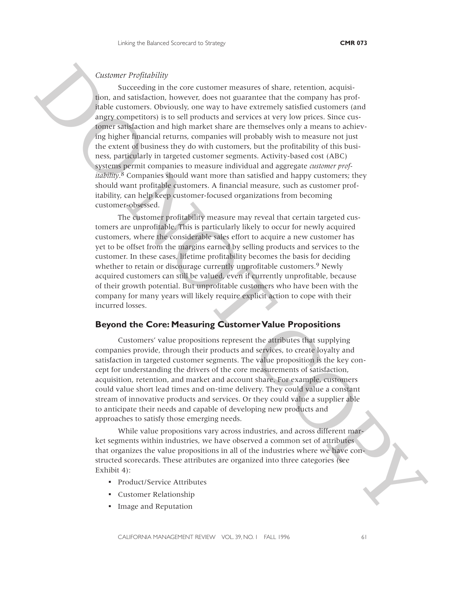# *Customer Profitability*

Customer Profitability mass are the constant of share, etcration, acquiational constant and the system of the system of the system of the system of the system of the system of the system of the system of the system of the Succeeding in the core customer measures of share, retention, acquisition, and satisfaction, however, does not guarantee that the company has profitable customers. Obviously, one way to have extremely satisfied customers (and angry competitors) is to sell products and services at very low prices. Since customer satisfaction and high market share are themselves only a means to achieving higher financial returns, companies will probably wish to measure not just the extent of business they do with customers, but the profitability of this business, particularly in targeted customer segments. Activity-based cost (ABC) systems permit companies to measure individual and aggregate *customer profitability*.8 Companies should want more than satisfied and happy customers; they should want profitable customers. A financial measure, such as customer profitability, can help keep customer-focused organizations from becoming customer-obsessed.

The customer profitability measure may reveal that certain targeted customers are unprofitable. This is particularly likely to occur for newly acquired customers, where the considerable sales effort to acquire a new customer has yet to be offset from the margins earned by selling products and services to the customer. In these cases, lifetime profitability becomes the basis for deciding whether to retain or discourage currently unprofitable customers.<sup>9</sup> Newly acquired customers can still be valued, even if currently unprofitable, because of their growth potential. But unprofitable customers who have been with the company for many years will likely require explicit action to cope with their incurred losses.

# **Beyond the Core: Measuring Customer Value Propositions**

Customers' value propositions represent the attributes that supplying companies provide, through their products and services, to create loyalty and satisfaction in targeted customer segments. The value proposition is the key concept for understanding the drivers of the core measurements of satisfaction, acquisition, retention, and market and account share. For example, customers could value short lead times and on-time delivery. They could value a constant stream of innovative products and services. Or they could value a supplier able to anticipate their needs and capable of developing new products and approaches to satisfy those emerging needs.

While value propositions vary across industries, and across different market segments within industries, we have observed a common set of attributes that organizes the value propositions in all of the industries where we have constructed scorecards. These attributes are organized into three categories (see Exhibit 4):

- Product/Service Attributes
- Customer Relationship
- Image and Reputation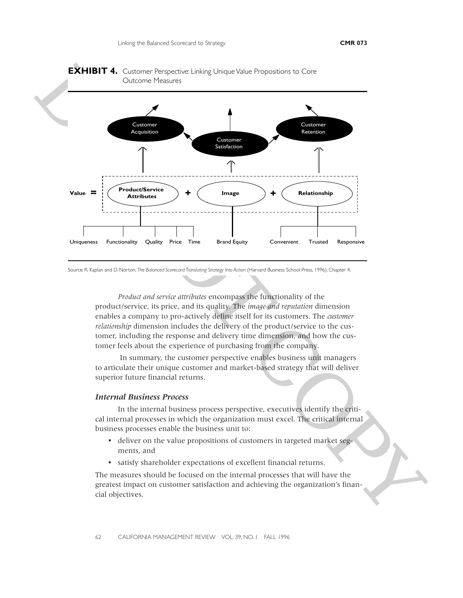

# **EXHIBIT 4.** Customer Perspective: Linking Unique Value Propositions to Core

Source: R. Kaplan and D. Norton, *The Balanced Scorecard:Translating Strategy Into Action* (Harvard Business School Press, 1996); Chapter 4.

*Product and service attributes* encompass the functionality of the product/service, its price, and its quality. The *image and reputation* dimension enables a company to pro-actively define itself for its customers. The *customer relationship* dimension includes the delivery of the product/service to the customer, including the response and delivery time dimension, and how the customer feels about the experience of purchasing from the company.

In summary, the customer perspective enables business unit managers to articulate their unique customer and market-based strategy that will deliver superior future financial returns.

# *Internal Business Process*

In the internal business process perspective, executives identify the critical internal processes in which the organization must excel. The critical internal business processes enable the business unit to:

- deliver on the value propositions of customers in targeted market segments, and
- satisfy shareholder expectations of excellent financial returns.

The measures should be focused on the internal processes that will have the greatest impact on customer satisfaction and achieving the organization's financial objectives.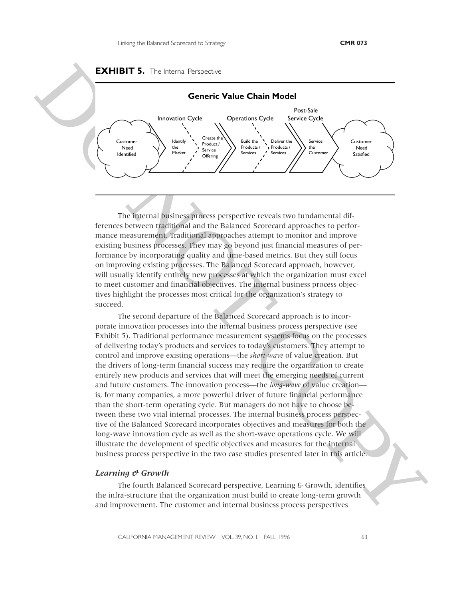



ferences between traditional and the Balanced Scorecard approaches to performance measurement. Traditional approaches attempt to monitor and improve existing business processes. They may go beyond just financial measures of performance by incorporating quality and time-based metrics. But they still focus on improving existing processes. The Balanced Scorecard approach, however, will usually identify entirely new processes at which the organization must excel to meet customer and financial objectives. The internal business process objectives highlight the processes most critical for the organization's strategy to succeed.

The second departure of the Balanced Scorecard approach is to incorporate innovation processes into the internal business process perspective (see Exhibit 5). Traditional performance measurement systems focus on the processes of delivering today's products and services to today's customers. They attempt to control and improve existing operations—the *short-wave* of value creation. But the drivers of long-term financial success may require the organization to create entirely new products and services that will meet the emerging needs of current and future customers. The innovation process—the *long-wave* of value creation is, for many companies, a more powerful driver of future financial performance than the short-term operating cycle. But managers do not have to choose between these two vital internal processes. The internal business process perspective of the Balanced Scorecard incorporates objectives and measures for both the long-wave innovation cycle as well as the short-wave operations cycle. We will illustrate the development of specific objectives and measures for the internal business process perspective in the two case studies presented later in this article.

# *Learning & Growth*

The fourth Balanced Scorecard perspective, Learning & Growth, identifies the infra-structure that the organization must build to create long-term growth and improvement. The customer and internal business process perspectives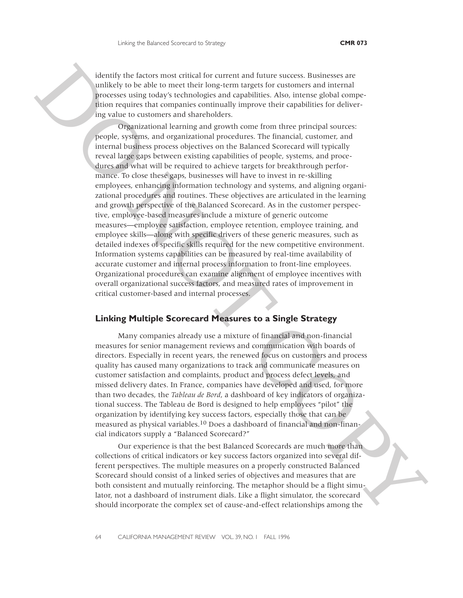identify the factors most critical for current and future success. Businesses are unlikely to be able to meet their long-term targets for customers and internal processes using today's technologies and capabilities. Also, intense global competition requires that companies continually improve their capabilities for delivering value to customers and shareholders.

Leading the Islacan mast critical are convened and tunner access. Junislaty and the set of the set of the set of the set of the set of the set of the set of the set of the set of the set of the set of the set of the set o Organizational learning and growth come from three principal sources: people, systems, and organizational procedures. The financial, customer, and internal business process objectives on the Balanced Scorecard will typically reveal large gaps between existing capabilities of people, systems, and procedures and what will be required to achieve targets for breakthrough performance. To close these gaps, businesses will have to invest in re-skilling employees, enhancing information technology and systems, and aligning organizational procedures and routines. These objectives are articulated in the learning and growth perspective of the Balanced Scorecard. As in the customer perspective, employee-based measures include a mixture of generic outcome measures—employee satisfaction, employee retention, employee training, and employee skills—along with specific drivers of these generic measures, such as detailed indexes of specific skills required for the new competitive environment. Information systems capabilities can be measured by real-time availability of accurate customer and internal process information to front-line employees. Organizational procedures can examine alignment of employee incentives with overall organizational success factors, and measured rates of improvement in critical customer-based and internal processes.

# **Linking Multiple Scorecard Measures to a Single Strategy**

Many companies already use a mixture of financial and non-financial measures for senior management reviews and communication with boards of directors. Especially in recent years, the renewed focus on customers and process quality has caused many organizations to track and communicate measures on customer satisfaction and complaints, product and process defect levels, and missed delivery dates. In France, companies have developed and used, for more than two decades, the *Tableau de Bord*, a dashboard of key indicators of organizational success. The Tableau de Bord is designed to help employees "pilot" the organization by identifying key success factors, especially those that can be measured as physical variables.10 Does a dashboard of financial and non-financial indicators supply a "Balanced Scorecard?"

Our experience is that the best Balanced Scorecards are much more than collections of critical indicators or key success factors organized into several different perspectives. The multiple measures on a properly constructed Balanced Scorecard should consist of a linked series of objectives and measures that are both consistent and mutually reinforcing. The metaphor should be a flight simulator, not a dashboard of instrument dials. Like a flight simulator, the scorecard should incorporate the complex set of cause-and-effect relationships among the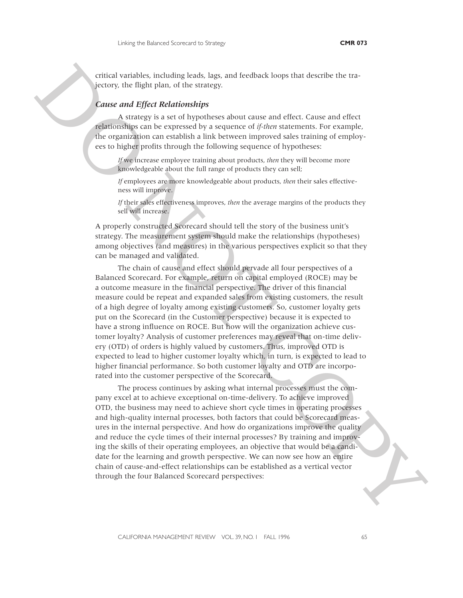critical variables, including leads, lags, and feedback loops that describe the trajectory, the flight plan, of the strategy.

# *Cause and Effect Relationships*

A strategy is a set of hypotheses about cause and effect. Cause and effect relationships can be expressed by a sequence of *if-then* statements. For example, the organization can establish a link between improved sales training of employees to higher profits through the following sequence of hypotheses:

*If* we increase employee training about products, *then* they will become more knowledgeable about the full range of products they can sell;

*If* employees are more knowledgeable about products, *then* their sales effectiveness will improve.

*If* their sales effectiveness improves, *then* the average margins of the products they sell will increase.

A properly constructed Scorecard should tell the story of the business unit's strategy. The measurement system should make the relationships (hypotheses) among objectives (and measures) in the various perspectives explicit so that they can be managed and validated.

ericted variables including leads. lags, and feedback loops that describe the newspotent in this that we tried that the strainer of the strainer of the strainer of the strainer of the strainer of the strainer of the strai The chain of cause and effect should pervade all four perspectives of a Balanced Scorecard. For example, return on capital employed (ROCE) may be a outcome measure in the financial perspective. The driver of this financial measure could be repeat and expanded sales from existing customers, the result of a high degree of loyalty among existing customers. So, customer loyalty gets put on the Scorecard (in the Customer perspective) because it is expected to have a strong influence on ROCE. But how will the organization achieve customer loyalty? Analysis of customer preferences may reveal that on-time delivery (OTD) of orders is highly valued by customers. Thus, improved OTD is expected to lead to higher customer loyalty which, in turn, is expected to lead to higher financial performance. So both customer loyalty and OTD are incorporated into the customer perspective of the Scorecard.

The process continues by asking what internal processes must the company excel at to achieve exceptional on-time-delivery. To achieve improved OTD, the business may need to achieve short cycle times in operating processes and high-quality internal processes, both factors that could be Scorecard measures in the internal perspective. And how do organizations improve the quality and reduce the cycle times of their internal processes? By training and improving the skills of their operating employees, an objective that would be a candidate for the learning and growth perspective. We can now see how an entire chain of cause-and-effect relationships can be established as a vertical vector through the four Balanced Scorecard perspectives: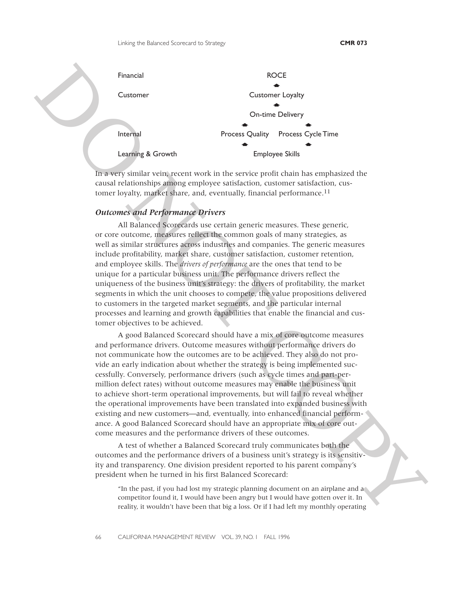

In a very similar vein, recent work in the service profit chain has emphasized the causal relationships among employee satisfaction, customer satisfaction, customer loyalty, market share, and, eventually, financial performance.<sup>11</sup>

# *Outcomes and Performance Drivers*

All Balanced Scorecards use certain generic measures. These generic, or core outcome, measures reflect the common goals of many strategies, as well as similar structures across industries and companies. The generic measures include profitability, market share, customer satisfaction, customer retention, and employee skills. The *drivers of performance* are the ones that tend to be unique for a particular business unit. The performance drivers reflect the uniqueness of the business unit's strategy: the drivers of profitability, the market segments in which the unit chooses to compete, the value propositions delivered to customers in the targeted market segments, and the particular internal processes and learning and growth capabilities that enable the financial and customer objectives to be achieved.

Framerial Rock Continues and the properties of the system of the system of the system of the system of the system of the system of the system of the system of the system of the system of the system of the system of the sy A good Balanced Scorecard should have a mix of core outcome measures and performance drivers. Outcome measures without performance drivers do not communicate how the outcomes are to be achieved. They also do not provide an early indication about whether the strategy is being implemented successfully. Conversely, performance drivers (such as cycle times and part-permillion defect rates) without outcome measures may enable the business unit to achieve short-term operational improvements, but will fail to reveal whether the operational improvements have been translated into expanded business with existing and new customers—and, eventually, into enhanced financial performance. A good Balanced Scorecard should have an appropriate mix of core outcome measures and the performance drivers of these outcomes.

A test of whether a Balanced Scorecard truly communicates both the outcomes and the performance drivers of a business unit's strategy is its sensitivity and transparency. One division president reported to his parent company's president when he turned in his first Balanced Scorecard:

"In the past, if you had lost my strategic planning document on an airplane and a competitor found it, I would have been angry but I would have gotten over it. In reality, it wouldn't have been that big a loss. Or if I had left my monthly operating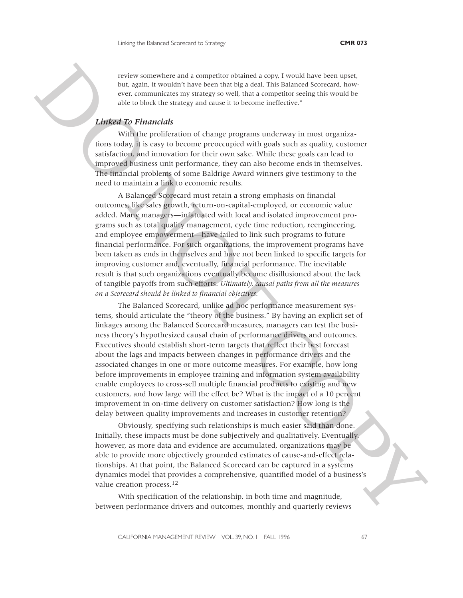review somewhere and a competitor obtained a copy, I would have been upset, but, again, it wouldn't have been that big a deal. This Balanced Scorecard, however, communicates my strategy so well, that a competitor seeing this would be able to block the strategy and cause it to become ineffective."

# *Linked To Financials*

With the proliferation of change programs underway in most organizations today, it is easy to become preoccupied with goals such as quality, customer satisfaction, and innovation for their own sake. While these goals can lead to improved business unit performance, they can also become ends in themselves. The financial problems of some Baldrige Award winners give testimony to the need to maintain a link to economic results.

A Balanced Scorecard must retain a strong emphasis on financial outcomes, like sales growth, return-on-capital-employed, or economic value added. Many managers—infatuated with local and isolated improvement programs such as total quality management, cycle time reduction, reengineering, and employee empowerment—have failed to link such programs to future financial performance. For such organizations, the improvement programs have been taken as ends in themselves and have not been linked to specific targets for improving customer and, eventually, financial performance. The inevitable result is that such organizations eventually become disillusioned about the lack of tangible payoffs from such efforts. *Ultimately, causal paths from all the measures on a Scorecard should be linked to financial objectives.*

reades the main simulation of the main simulation in the state term and the state simulation of the state of the state of the main simulation of the state of the state of the state of the state of the state of the state o The Balanced Scorecard, unlike ad hoc performance measurement systems, should articulate the "theory of the business." By having an explicit set of linkages among the Balanced Scorecard measures, managers can test the business theory's hypothesized causal chain of performance drivers and outcomes. Executives should establish short-term targets that reflect their best forecast about the lags and impacts between changes in performance drivers and the associated changes in one or more outcome measures. For example, how long before improvements in employee training and information system availability enable employees to cross-sell multiple financial products to existing and new customers, and how large will the effect be? What is the impact of a 10 percent improvement in on-time delivery on customer satisfaction? How long is the delay between quality improvements and increases in customer retention?

Obviously, specifying such relationships is much easier said than done. Initially, these impacts must be done subjectively and qualitatively. Eventually, however, as more data and evidence are accumulated, organizations may be able to provide more objectively grounded estimates of cause-and-effect relationships. At that point, the Balanced Scorecard can be captured in a systems dynamics model that provides a comprehensive, quantified model of a business's value creation process.12

With specification of the relationship, in both time and magnitude, between performance drivers and outcomes, monthly and quarterly reviews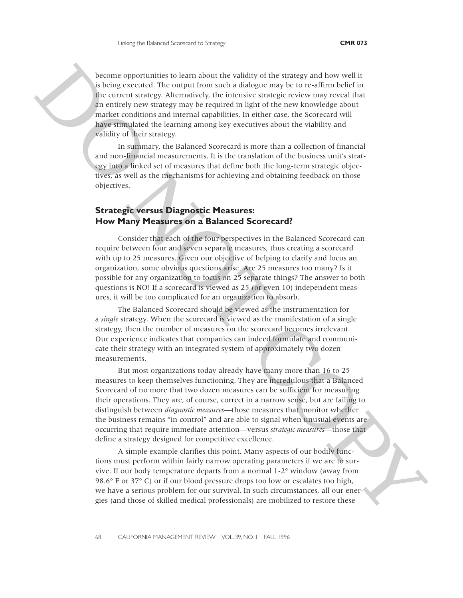become opportunities to learn about the validity of the strategy and how well it is being executed. The output from such a dialogue may be to re-affirm belief in the current strategy. Alternatively, the intensive strategic review may reveal that an entirely new strategy may be required in light of the new knowledge about market conditions and internal capabilities. In either case, the Scorecard will have stimulated the learning among key executives about the viability and validity of their strategy.

In summary, the Balanced Scorecard is more than a collection of financial and non-financial measurements. It is the translation of the business unit's strategy into a linked set of measures that define both the long-term strategic objectives, as well as the mechanisms for achieving and obtaining feedback on those objectives.

# **Strategic versus Diagnostic Measures: How Many Measures on a Balanced Scorecard?**

Consider that each of the four perspectives in the Balanced Scorecard can require between four and seven separate measures, thus creating a scorecard with up to 25 measures. Given our objective of helping to clarify and focus an organization, some obvious questions arise. Are 25 measures too many? Is it possible for any organization to focus on 25 separate things? The answer to both questions is NO! If a scorecard is viewed as 25 (or even 10) independent measures, it will be too complicated for an organization to absorb.

The Balanced Scorecard should be viewed as the instrumentation for a *single* strategy. When the scorecard is viewed as the manifestation of a single strategy, then the number of measures on the scorecard becomes irrelevant. Our experience indicates that companies can indeed formulate and communicate their strategy with an integrated system of approximately two dozen measurements.

become oppositenties to learn about the validity of the transportant<br>is to learn the society are set also as a strong and the variable of the control state in the unit<br>of the state of the state of the state of the state o But most organizations today already have many more than 16 to 25 measures to keep themselves functioning. They are incredulous that a Balanced Scorecard of no more that two dozen measures can be sufficient for measuring their operations. They are, of course, correct in a narrow sense, but are failing to distinguish between *diagnostic measures*—those measures that monitor whether the business remains "in control" and are able to signal when unusual events are occurring that require immediate attention—versus *strategic measures*—those that define a strategy designed for competitive excellence.

A simple example clarifies this point. Many aspects of our bodily functions must perform within fairly narrow operating parameters if we are to survive. If our body temperature departs from a normal 1-2° window (away from 98.6° F or 37° C) or if our blood pressure drops too low or escalates too high, we have a serious problem for our survival. In such circumstances, all our energies (and those of skilled medical professionals) are mobilized to restore these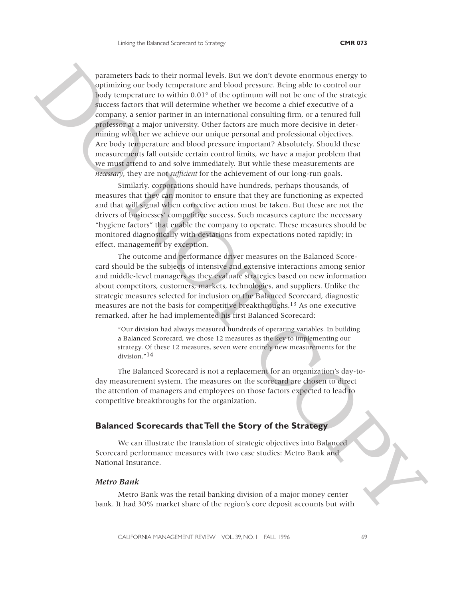parameters hole to their contral levels, thus we don't devel and the simulation of the strength of the strength of the simulation of the simulation of the strength of the simulation of the simulation of the simulation of parameters back to their normal levels. But we don't devote enormous energy to optimizing our body temperature and blood pressure. Being able to control our body temperature to within 0.01° of the optimum will not be one of the strategic success factors that will determine whether we become a chief executive of a company, a senior partner in an international consulting firm, or a tenured full professor at a major university. Other factors are much more decisive in determining whether we achieve our unique personal and professional objectives. Are body temperature and blood pressure important? Absolutely. Should these measurements fall outside certain control limits, we have a major problem that we must attend to and solve immediately. But while these measurements are *necessary*, they are not *sufficient* for the achievement of our long-run goals.

Similarly, corporations should have hundreds, perhaps thousands, of measures that they can monitor to ensure that they are functioning as expected and that will signal when corrective action must be taken. But these are not the drivers of businesses' competitive success. Such measures capture the necessary "hygiene factors" that enable the company to operate. These measures should be monitored diagnostically with deviations from expectations noted rapidly; in effect, management by exception.

The outcome and performance driver measures on the Balanced Scorecard should be the subjects of intensive and extensive interactions among senior and middle-level managers as they evaluate strategies based on new information about competitors, customers, markets, technologies, and suppliers. Unlike the strategic measures selected for inclusion on the Balanced Scorecard, diagnostic measures are not the basis for competitive breakthroughs.13 As one executive remarked, after he had implemented his first Balanced Scorecard:

"Our division had always measured hundreds of operating variables. In building a Balanced Scorecard, we chose 12 measures as the key to implementing our strategy. Of these 12 measures, seven were entirely new measurements for the division."14

The Balanced Scorecard is not a replacement for an organization's day-today measurement system. The measures on the scorecard are chosen to direct the attention of managers and employees on those factors expected to lead to competitive breakthroughs for the organization.

# **Balanced Scorecards that Tell the Story of the Strategy**

We can illustrate the translation of strategic objectives into Balanced Scorecard performance measures with two case studies: Metro Bank and National Insurance.

## *Metro Bank*

Metro Bank was the retail banking division of a major money center bank. It had 30% market share of the region's core deposit accounts but with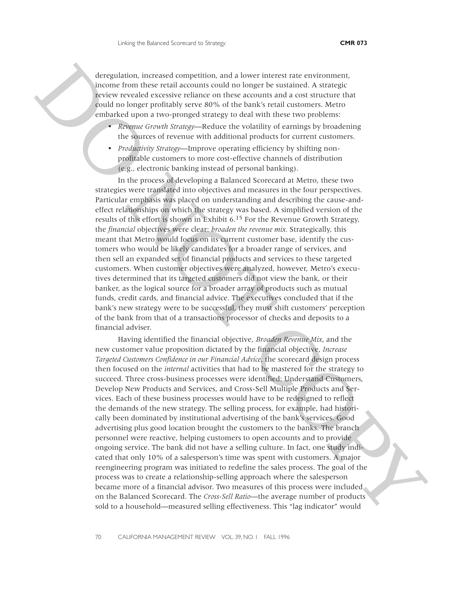deregulation, increased competition, and a lower interest rate environment, income from these retail accounts could no longer be sustained. A strategic review revealed excessive reliance on these accounts and a cost structure that could no longer profitably serve 80% of the bank's retail customers. Metro embarked upon a two-pronged strategy to deal with these two problems:

- *Revenue Growth Strategy*—Reduce the volatility of earnings by broadening the sources of revenue with additional products for current customers.
- *Productivity Strategy*—Improve operating efficiency by shifting nonprofitable customers to more cost-effective channels of distribution (e.g., electronic banking instead of personal banking).

In the process of developing a Balanced Scorecard at Metro, these two strategies were translated into objectives and measures in the four perspectives. Particular emphasis was placed on understanding and describing the cause-andeffect relationships on which the strategy was based. A simplified version of the results of this effort is shown in Exhibit 6.15 For the Revenue Growth Strategy, the *financial* objectives were clear: *broaden the revenue mix.* Strategically, this meant that Metro would focus on its current customer base, identify the customers who would be likely candidates for a broader range of services, and then sell an expanded set of financial products and services to these targeted customers. When customer objectives were analyzed, however, Metro's executives determined that its targeted customers did not view the bank, or their banker, as the logical source for a broader array of products such as mutual funds, credit cards, and financial advice. The executives concluded that if the bank's new strategy were to be successful, they must shift customers' perception of the bank from that of a transactions processor of checks and deposits to a financial adviser.

describes the constrate competition, and a lower interest are easible and a compete the constrained entergy resolution and the location of the constrained entergy resolution of the constrained entergy resolution of the co Having identified the financial objective, *Broaden Revenue Mix*, and the new customer value proposition dictated by the financial objective, *Increase Targeted Customers Confidence in our Financial Advice*, the scorecard design process then focused on the *internal* activities that had to be mastered for the strategy to succeed. Three cross-business processes were identified: Understand Customers, Develop New Products and Services, and Cross-Sell Multiple Products and Services. Each of these business processes would have to be redesigned to reflect the demands of the new strategy. The selling process, for example, had historically been dominated by institutional advertising of the bank's services. Good advertising plus good location brought the customers to the banks. The branch personnel were reactive, helping customers to open accounts and to provide ongoing service. The bank did not have a selling culture. In fact, one study indicated that only 10% of a salesperson's time was spent with customers. A major reengineering program was initiated to redefine the sales process. The goal of the process was to create a relationship-selling approach where the salesperson became more of a financial advisor. Two measures of this process were included on the Balanced Scorecard. The *Cross-Sell Ratio—*the average number of products sold to a household—measured selling effectiveness. This "lag indicator" would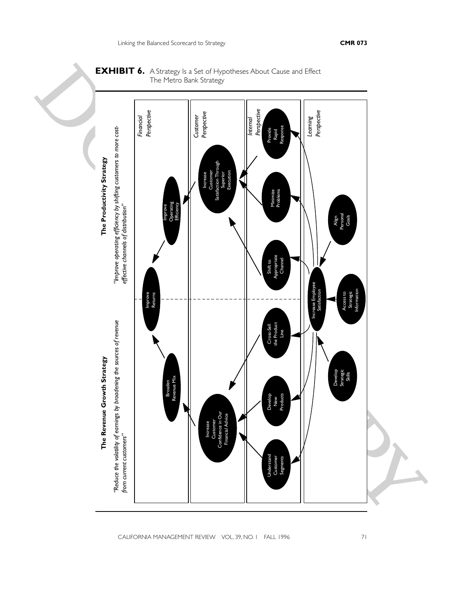

# **EXHIBIT 6.** A Strategy Is a Set of Hypotheses About Cause and Effect

CALIFORNIA MANAGEMENT REVIEW VOL. 39, NO. 1 FALL 1996 71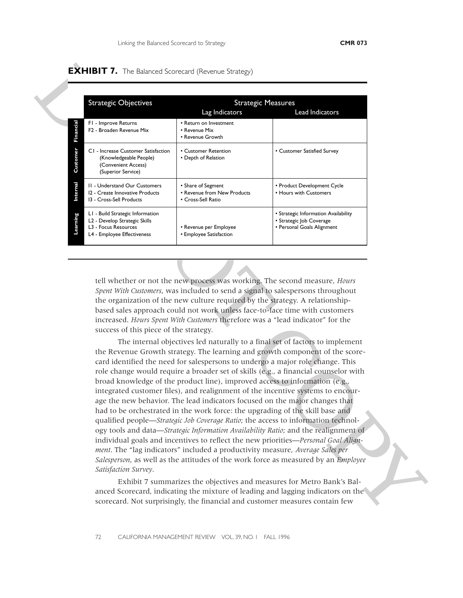# **EXHIBIT 7.** The Balanced Scorecard (Revenue Strategy)

| <b>Strategic Objectives</b>                                                                                              | Lag Indicators                                                          | <b>Strategic Measures</b><br>Lead Indicators                                                                                                                                                                                                                                                                                                                                                                                                                                                                                                                                                                                                                                                                                                                                                                                                        |
|--------------------------------------------------------------------------------------------------------------------------|-------------------------------------------------------------------------|-----------------------------------------------------------------------------------------------------------------------------------------------------------------------------------------------------------------------------------------------------------------------------------------------------------------------------------------------------------------------------------------------------------------------------------------------------------------------------------------------------------------------------------------------------------------------------------------------------------------------------------------------------------------------------------------------------------------------------------------------------------------------------------------------------------------------------------------------------|
| FI - Improve Returns<br>F2 - Broaden Revenue Mix                                                                         | • Return on Investment<br>• Revenue Mix<br>• Revenue Growth             |                                                                                                                                                                                                                                                                                                                                                                                                                                                                                                                                                                                                                                                                                                                                                                                                                                                     |
| C1 - Increase Customer Satisfaction<br>(Knowledgeable People)<br>(Convenient Access)<br>(Superior Service)               | • Customer Retention<br>• Depth of Relation                             | • Customer Satisfied Survey                                                                                                                                                                                                                                                                                                                                                                                                                                                                                                                                                                                                                                                                                                                                                                                                                         |
| II - Understand Our Customers<br>12 - Create Innovative Products<br>13 - Cross-Sell Products                             | • Share of Segment<br>• Revenue from New Products<br>• Cross-Sell Ratio | • Product Development Cycle<br>• Hours with Customers                                                                                                                                                                                                                                                                                                                                                                                                                                                                                                                                                                                                                                                                                                                                                                                               |
| LI - Build Strategic Information<br>L2 - Develop Strategic Skills<br>L3 - Focus Resources<br>L4 - Employee Effectiveness | • Revenue per Employee<br>• Employee Satisfaction                       | • Strategic Information Availability<br>• Strategic Job Coverage<br>• Personal Goals Alignment                                                                                                                                                                                                                                                                                                                                                                                                                                                                                                                                                                                                                                                                                                                                                      |
| success of this piece of the strategy.                                                                                   |                                                                         | The internal objectives led naturally to a final set of factors to implement<br>the Revenue Growth strategy. The learning and growth component of the score-<br>card identified the need for salespersons to undergo a major role change. This<br>role change would require a broader set of skills (e.g., a financial counselor with<br>broad knowledge of the product line), improved access to information (e.g.,<br>integrated customer files), and realignment of the incentive systems to encour-<br>age the new behavior. The lead indicators focused on the major changes that<br>had to be orchestrated in the work force: the upgrading of the skill base and<br>qualified people—Strategic Job Coverage Ratio; the access to information technol-<br>ogy tools and data-Strategic Information Availability Ratio; and the realignment of |
|                                                                                                                          |                                                                         | individual goals and incentives to reflect the new priorities-Personal Goal Align-<br>ment. The "lag indicators" included a productivity measure, Average Sales per<br>Salesperson, as well as the attitudes of the work force as measured by an Employee                                                                                                                                                                                                                                                                                                                                                                                                                                                                                                                                                                                           |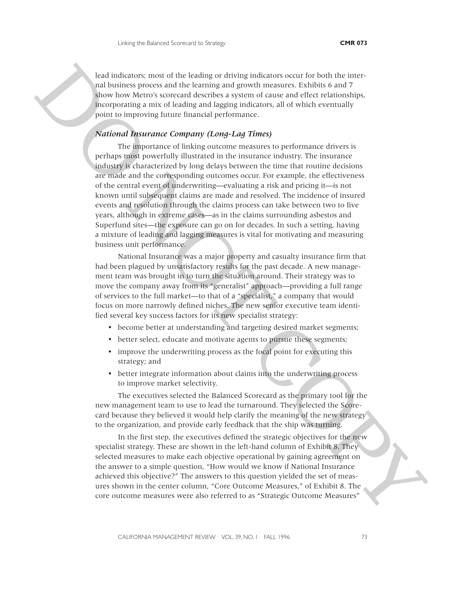lead indicators; most of the leading or driving indicators occur for both the internal business process and the learning and growth measures. Exhibits 6 and 7 show how Metro's scorecard describes a system of cause and effect relationships, incorporating a mix of leading and lagging indicators, all of which eventually point to improving future financial performance.

# *National Insurance Company (Long-Lag Times)*

Let the<br>distance process and the leaking and dependent one can be having the<br>sign and show to be the signal state of the signal state of the signal<br>involvement of the signal state of the signal state of the signal state<br>i The importance of linking outcome measures to performance drivers is perhaps most powerfully illustrated in the insurance industry. The insurance industry is characterized by long delays between the time that routine decisions are made and the corresponding outcomes occur. For example, the effectiveness of the central event of underwriting—evaluating a risk and pricing it—is not known until subsequent claims are made and resolved. The incidence of insured events and resolution through the claims process can take between two to five years, although in extreme cases—as in the claims surrounding asbestos and Superfund sites—the exposure can go on for decades. In such a setting, having a mixture of leading and lagging measures is vital for motivating and measuring business unit performance.

National Insurance was a major property and casualty insurance firm that had been plagued by unsatisfactory results for the past decade. A new management team was brought in to turn the situation around. Their strategy was to move the company away from its "generalist" approach—providing a full range of services to the full market—to that of a "specialist," a company that would focus on more narrowly defined niches. The new senior executive team identified several key success factors for its new specialist strategy:

- become better at understanding and targeting desired market segments;
- **•** better select, educate and motivate agents to pursue these segments;
- **•** improve the underwriting process as the focal point for executing this strategy; and
- better integrate information about claims into the underwriting process to improve market selectivity.

The executives selected the Balanced Scorecard as the primary tool for the new management team to use to lead the turnaround. They selected the Scorecard because they believed it would help clarify the meaning of the new strategy to the organization, and provide early feedback that the ship was turning.

In the first step, the executives defined the strategic objectives for the new specialist strategy. These are shown in the left-hand column of Exhibit 8. They selected measures to make each objective operational by gaining agreement on the answer to a simple question, "How would we know if National Insurance achieved this objective?" The answers to this question yielded the set of measures shown in the center column, "Core Outcome Measures," of Exhibit 8. The core outcome measures were also referred to as "Strategic Outcome Measures"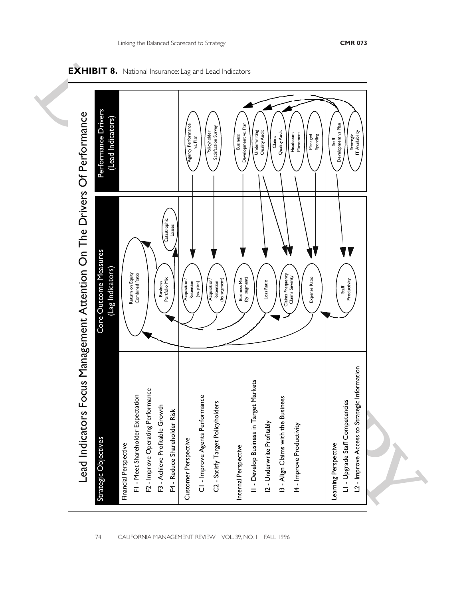

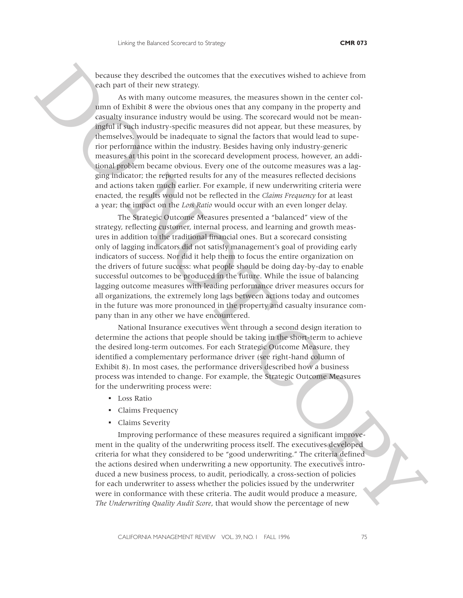because they described the outcomes that the executives wished to achieve from each part of their new strategy.

because they describes the<br>solution are one of sachieve from the matter as of the solution of the<br>solution of the syle mattern and the syle mattern and the syle mattern in<br>the syle mattern of syle mattern of the syle matt As with many outcome measures, the measures shown in the center column of Exhibit 8 were the obvious ones that any company in the property and casualty insurance industry would be using. The scorecard would not be meaningful if such industry-specific measures did not appear, but these measures, by themselves, would be inadequate to signal the factors that would lead to superior performance within the industry. Besides having only industry-generic measures at this point in the scorecard development process, however, an additional problem became obvious. Every one of the outcome measures was a lagging indicator; the reported results for any of the measures reflected decisions and actions taken much earlier. For example, if new underwriting criteria were enacted, the results would not be reflected in the *Claims Frequency* for at least a year; the impact on the *Loss Ratio* would occur with an even longer delay.

The Strategic Outcome Measures presented a "balanced" view of the strategy, reflecting customer, internal process, and learning and growth measures in addition to the traditional financial ones. But a scorecard consisting only of lagging indicators did not satisfy management's goal of providing early indicators of success. Nor did it help them to focus the entire organization on the drivers of future success: what people should be doing day-by-day to enable successful outcomes to be produced in the future. While the issue of balancing lagging outcome measures with leading performance driver measures occurs for all organizations, the extremely long lags between actions today and outcomes in the future was more pronounced in the property and casualty insurance company than in any other we have encountered.

National Insurance executives went through a second design iteration to determine the actions that people should be taking in the short-term to achieve the desired long-term outcomes. For each Strategic Outcome Measure, they identified a complementary performance driver (see right-hand column of Exhibit 8). In most cases, the performance drivers described how a business process was intended to change. For example, the Strategic Outcome Measures for the underwriting process were:

- **•** Loss Ratio
- Claims Frequency
- Claims Severity

Improving performance of these measures required a significant improvement in the quality of the underwriting process itself. The executives developed criteria for what they considered to be "good underwriting." The criteria defined the actions desired when underwriting a new opportunity. The executives introduced a new business process, to audit, periodically, a cross-section of policies for each underwriter to assess whether the policies issued by the underwriter were in conformance with these criteria. The audit would produce a measure, *The Underwriting Quality Audit Score*, that would show the percentage of new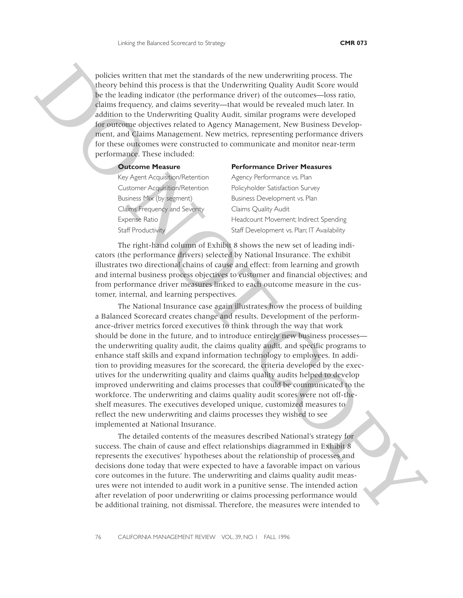policies written that met the standards of the new underwriting process. The theory behind this process is that the Underwriting Quality Audit Score would be the leading indicator (the performance driver) of the outcomes—loss ratio, claims frequency, and claims severity—that would be revealed much later. In addition to the Underwriting Quality Audit, similar programs were developed for outcome objectives related to Agency Management, New Business Development, and Claims Management. New metrics, representing performance drivers for these outcomes were constructed to communicate and monitor near-term performance. These included:

Key Agent Acquisition/Retention Agency Performance vs. Plan Business Mix (by segment) Business Development vs. Plan Claims Frequency and Severity Claims Quality Audit

#### **Outcome Measure Performance Driver Measures**

Customer Acquisition/Retention Policyholder Satisfaction Survey Expense Ratio Headcount Movement; Indirect Spending Staff Productivity Staff Development vs. Plan; IT Availability

The right-hand column of Exhibit 8 shows the new set of leading indicators (the performance drivers) selected by National Insurance. The exhibit illustrates two directional chains of cause and effect: from learning and growth and internal business process objectives to customer and financial objectives; and from performance driver measures linked to each outcome measure in the customer, internal, and learning perspectives.

policies weriton that the total<br>and the former such that are the conservant from the spectrosy behand this process<br>is than the total<br>correction of the conservation of the conservation of the conservation<br>of the profession The National Insurance case again illustrates how the process of building a Balanced Scorecard creates change and results. Development of the performance-driver metrics forced executives to think through the way that work should be done in the future, and to introduce entirely new business processes the underwriting quality audit, the claims quality audit, and specific programs to enhance staff skills and expand information technology to employees. In addition to providing measures for the scorecard, the criteria developed by the executives for the underwriting quality and claims quality audits helped to develop improved underwriting and claims processes that could be communicated to the workforce. The underwriting and claims quality audit scores were not off-theshelf measures. The executives developed unique, customized measures to reflect the new underwriting and claims processes they wished to see implemented at National Insurance.

The detailed contents of the measures described National's strategy for success. The chain of cause and effect relationships diagrammed in Exhibit 8 represents the executives' hypotheses about the relationship of processes and decisions done today that were expected to have a favorable impact on various core outcomes in the future. The underwriting and claims quality audit measures were not intended to audit work in a punitive sense. The intended action after revelation of poor underwriting or claims processing performance would be additional training, not dismissal. Therefore, the measures were intended to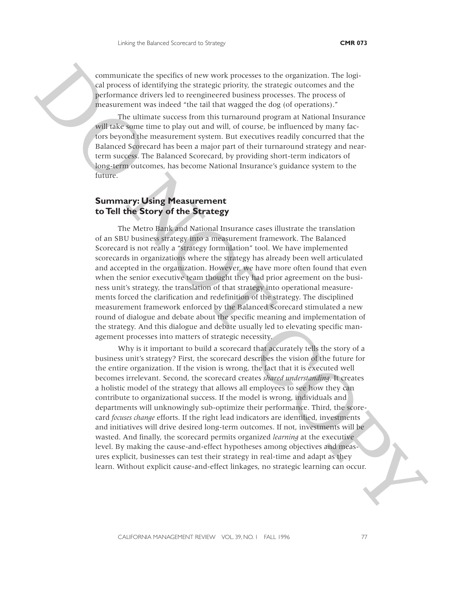communicate the specifics of new work processes to the organization. The logical process of identifying the strategic priority, the strategic outcomes and the performance drivers led to reengineered business processes. The process of measurement was indeed "the tail that wagged the dog (of operations)."

The ultimate success from this turnaround program at National Insurance will take some time to play out and will, of course, be influenced by many factors beyond the measurement system. But executives readily concurred that the Balanced Scorecard has been a major part of their turnaround strategy and nearterm success. The Balanced Scorecard, by providing short-term indicators of long-term outcomes, has become National Insurance's guidance system to the future.

# **Summary: Using Measurement to Tell the Story of the Strategy**

The Metro Bank and National Insurance cases illustrate the translation of an SBU business strategy into a measurement framework. The Balanced Scorecard is not really a "strategy formulation" tool. We have implemented scorecards in organizations where the strategy has already been well articulated and accepted in the organization. However, we have more often found that even when the senior executive team thought they had prior agreement on the business unit's strategy, the translation of that strategy into operational measurements forced the clarification and redefinition of the strategy. The disciplined measurement framework enforced by the Balanced Scorecard stimulated a new round of dialogue and debate about the specific meaning and implementation of the strategy. And this dialogue and debate usually led to elevating specific management processes into matters of strategic necessity.

commutation de needels of new word, hostesta to the organization. The big-<br>measurement where the performance of the measurement was finded with the measurement was finded with the measurement was finded with the measureme Why is it important to build a scorecard that accurately tells the story of a business unit's strategy? First, the scorecard describes the vision of the future for the entire organization. If the vision is wrong, the fact that it is executed well becomes irrelevant. Second, the scorecard creates *shared understanding*. It creates a holistic model of the strategy that allows all employees to see how they can contribute to organizational success. If the model is wrong, individuals and departments will unknowingly sub-optimize their performance. Third, the scorecard *focuses change* efforts. If the right lead indicators are identified, investments and initiatives will drive desired long-term outcomes. If not, investments will be wasted. And finally, the scorecard permits organized *learning* at the executive level. By making the cause-and-effect hypotheses among objectives and measures explicit, businesses can test their strategy in real-time and adapt as they learn. Without explicit cause-and-effect linkages, no strategic learning can occur.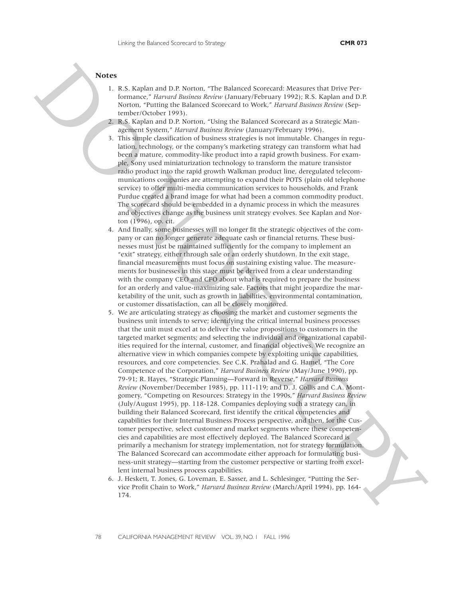### **Notes**

- 1. R.S. Kaplan and D.P. Norton, "The Balanced Scorecard: Measures that Drive Performance," *Harvard Business Review* (January/February 1992); R.S. Kaplan and D.P. Norton, "Putting the Balanced Scorecard to Work," *Harvard Business Review* (September/October 1993).
- 2. R.S. Kaplan and D.P. Norton, "Using the Balanced Scorecard as a Strategic Management System," *Harvard Business Review* (January/February 1996).
- 3. This simple classification of business strategies is not immutable. Changes in regulation, technology, or the company's marketing strategy can transform what had been a mature, commodity-like product into a rapid growth business. For example, Sony used miniaturization technology to transform the mature transistor radio product into the rapid growth Walkman product line, deregulated telecommunications companies are attempting to expand their POTS (plain old telephone service) to offer multi-media communication services to households, and Frank Purdue created a brand image for what had been a common commodity product. The scorecard should be embedded in a dynamic process in which the measures and objectives change as the business unit strategy evolves. See Kaplan and Norton (1996), op. cit.
- 4. And finally, some businesses will no longer fit the strategic objectives of the company or can no longer generate adequate cash or financial returns. These businesses must just be maintained sufficiently for the company to implement an "exit" strategy, either through sale or an orderly shutdown. In the exit stage, financial measurements must focus on sustaining existing value. The measurements for businesses in this stage must be derived from a clear understanding with the company CEO and CFO about what is required to prepare the business for an orderly and value-maximizing sale. Factors that might jeopardize the marketability of the unit, such as growth in liabilities, environmental contamination, or customer dissatisfaction, can all be closely monitored.
- Notes<br>
1. E. S. Kapian radi D.F. Noton, "The Balanced Sotronat Monetax later Dire Term<br>
1. E. R. Notices, "Potenton the Balanced Sotronati to Work," *Harvard Sotronati serves*<br>
1. E. Notices, "Potenton (1976), "*Harvard S* 5. We are articulating strategy as choosing the market and customer segments the business unit intends to serve; identifying the critical internal business processes that the unit must excel at to deliver the value propositions to customers in the targeted market segments; and selecting the individual and organizational capabilities required for the internal, customer, and financial objectives. We recognize an alternative view in which companies compete by exploiting unique capabilities, resources, and core competencies. See C.K. Prahalad and G. Hamel, "The Core Competence of the Corporation," *Harvard Business Review* (May/June 1990), pp. 79-91; R. Hayes, "Strategic Planning—Forward in Reverse," *Harvard Business Review* (November/December 1985), pp. 111-119; and D. J. Collis and C.A. Montgomery, "Competing on Resources: Strategy in the 1990s," *Harvard Business Review* (July/August 1995), pp. 118-128. Companies deploying such a strategy can, in building their Balanced Scorecard, first identify the critical competencies and capabilities for their Internal Business Process perspective, and then, for the Customer perspective, select customer and market segments where these competencies and capabilities are most effectively deployed. The Balanced Scorecard is primarily a mechanism for strategy implementation, not for strategy formulation. The Balanced Scorecard can accommodate either approach for formulating business-unit strategy—starting from the customer perspective or starting from excellent internal business process capabilities.
	- 6. J. Heskett, T. Jones, G. Loveman, E. Sasser, and L. Schlesinger, "Putting the Service Profit Chain to Work," *Harvard Business Review* (March/April 1994), pp. 164- 174.